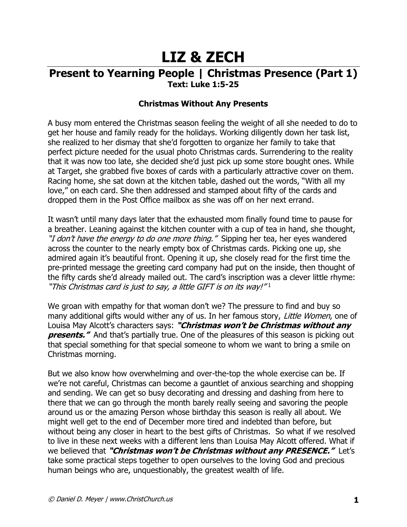# **LIZ & ZECH**

## **Present to Yearning People | Christmas Presence (Part 1) Text: Luke 1:5-25**

### **Christmas Without Any Presents**

A busy mom entered the Christmas season feeling the weight of all she needed to do to get her house and family ready for the holidays. Working diligently down her task list, she realized to her dismay that she'd forgotten to organize her family to take that perfect picture needed for the usual photo Christmas cards. Surrendering to the reality that it was now too late, she decided she'd just pick up some store bought ones. While at Target, she grabbed five boxes of cards with a particularly attractive cover on them. Racing home, she sat down at the kitchen table, dashed out the words, "With all my love," on each card. She then addressed and stamped about fifty of the cards and dropped them in the Post Office mailbox as she was off on her next errand.

It wasn't until many days later that the exhausted mom finally found time to pause for a breather. Leaning against the kitchen counter with a cup of tea in hand, she thought, "I don't have the energy to do one more thing." Sipping her tea, her eyes wandered across the counter to the nearly empty box of Christmas cards. Picking one up, she admired again it's beautiful front. Opening it up, she closely read for the first time the pre-printed message the greeting card company had put on the inside, then thought of the fifty cards she'd already mailed out. The card's inscription was a clever little rhyme: "This Christmas card is just to say, a little GIFT is on its way!"1

We groan with empathy for that woman don't we? The pressure to find and buy so many additional gifts would wither any of us. In her famous story, Little Women, one of Louisa May Alcott's characters says: **"Christmas won't be Christmas without any presents."** And that's partially true. One of the pleasures of this season is picking out that special something for that special someone to whom we want to bring a smile on Christmas morning.

But we also know how overwhelming and over-the-top the whole exercise can be. If we're not careful, Christmas can become a gauntlet of anxious searching and shopping and sending. We can get so busy decorating and dressing and dashing from here to there that we can go through the month barely really seeing and savoring the people around us or the amazing Person whose birthday this season is really all about. We might well get to the end of December more tired and indebted than before, but without being any closer in heart to the best gifts of Christmas. So what if we resolved to live in these next weeks with a different lens than Louisa May Alcott offered. What if we believed that **"Christmas won't be Christmas without any PRESENCE."** Let's take some practical steps together to open ourselves to the loving God and precious human beings who are, unquestionably, the greatest wealth of life.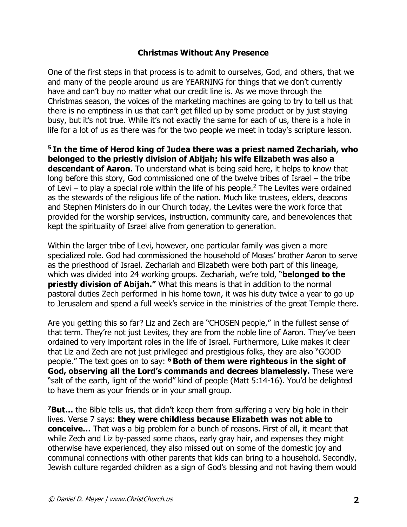#### **Christmas Without Any Presence**

One of the first steps in that process is to admit to ourselves, God, and others, that we and many of the people around us are YEARNING for things that we don't currently have and can't buy no matter what our credit line is. As we move through the Christmas season, the voices of the marketing machines are going to try to tell us that there is no emptiness in us that can't get filled up by some product or by just staying busy, but it's not true. While it's not exactly the same for each of us, there is a hole in life for a lot of us as there was for the two people we meet in today's scripture lesson.

**<sup>5</sup> In the time of Herod king of Judea there was a priest named Zechariah, who belonged to the priestly division of Abijah; his wife Elizabeth was also a descendant of Aaron.** To understand what is being said here, it helps to know that long before this story, God commissioned one of the twelve tribes of Israel – the tribe of Levi – to play a special role within the life of his people.<sup>2</sup> The Levites were ordained as the stewards of the religious life of the nation. Much like trustees, elders, deacons and Stephen Ministers do in our Church today, the Levites were the work force that provided for the worship services, instruction, community care, and benevolences that kept the spirituality of Israel alive from generation to generation.

Within the larger tribe of Levi, however, one particular family was given a more specialized role. God had commissioned the household of Moses' brother Aaron to serve as the priesthood of Israel. Zechariah and Elizabeth were both part of this lineage, which was divided into 24 working groups. Zechariah, we're told, "**belonged to the priestly division of Abijah."** What this means is that in addition to the normal pastoral duties Zech performed in his home town, it was his duty twice a year to go up to Jerusalem and spend a full week's service in the ministries of the great Temple there.

Are you getting this so far? Liz and Zech are "CHOSEN people," in the fullest sense of that term. They're not just Levites, they are from the noble line of Aaron. They've been ordained to very important roles in the life of Israel. Furthermore, Luke makes it clear that Liz and Zech are not just privileged and prestigious folks, they are also "GOOD people." The text goes on to say: **<sup>6</sup> Both of them were righteous in the sight of God, observing all the Lord's commands and decrees blamelessly.** These were "salt of the earth, light of the world" kind of people (Matt 5:14-16). You'd be delighted to have them as your friends or in your small group.

**<sup>7</sup>But…** the Bible tells us, that didn't keep them from suffering a very big hole in their lives. Verse 7 says: **they were childless because Elizabeth was not able to conceive…** That was a big problem for a bunch of reasons. First of all, it meant that while Zech and Liz by-passed some chaos, early gray hair, and expenses they might otherwise have experienced, they also missed out on some of the domestic joy and communal connections with other parents that kids can bring to a household. Secondly, Jewish culture regarded children as a sign of God's blessing and not having them would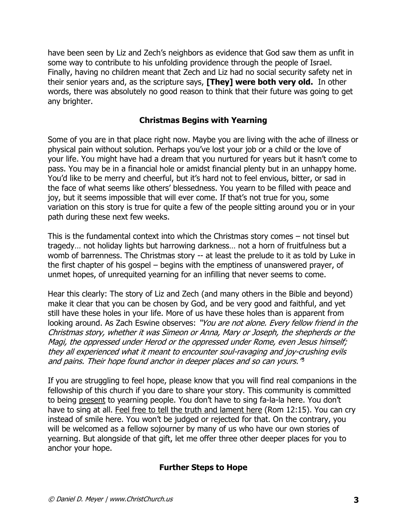have been seen by Liz and Zech's neighbors as evidence that God saw them as unfit in some way to contribute to his unfolding providence through the people of Israel. Finally, having no children meant that Zech and Liz had no social security safety net in their senior years and, as the scripture says, **[They] were both very old.** In other words, there was absolutely no good reason to think that their future was going to get any brighter.

#### **Christmas Begins with Yearning**

Some of you are in that place right now. Maybe you are living with the ache of illness or physical pain without solution. Perhaps you've lost your job or a child or the love of your life. You might have had a dream that you nurtured for years but it hasn't come to pass. You may be in a financial hole or amidst financial plenty but in an unhappy home. You'd like to be merry and cheerful, but it's hard not to feel envious, bitter, or sad in the face of what seems like others' blessedness. You yearn to be filled with peace and joy, but it seems impossible that will ever come. If that's not true for you, some variation on this story is true for quite a few of the people sitting around you or in your path during these next few weeks.

This is the fundamental context into which the Christmas story comes – not tinsel but tragedy… not holiday lights but harrowing darkness… not a horn of fruitfulness but a womb of barrenness. The Christmas story -- at least the prelude to it as told by Luke in the first chapter of his gospel – begins with the emptiness of unanswered prayer, of unmet hopes, of unrequited yearning for an infilling that never seems to come.

Hear this clearly: The story of Liz and Zech (and many others in the Bible and beyond) make it clear that you can be chosen by God, and be very good and faithful, and yet still have these holes in your life. More of us have these holes than is apparent from looking around. As Zach Eswine observes: "You are not alone. Every fellow friend in the Christmas story, whether it was Simeon or Anna, Mary or Joseph, the shepherds or the Magi, the oppressed under Herod or the oppressed under Rome, even Jesus himself; they all experienced what it meant to encounter soul-ravaging and joy-crushing evils and pains. Their hope found anchor in deeper places and so can yours." 3

If you are struggling to feel hope, please know that you will find real companions in the fellowship of this church if you dare to share your story. This community is committed to being present to yearning people. You don't have to sing fa-la-la here. You don't have to sing at all. Feel free to tell the truth and lament here (Rom 12:15). You can cry instead of smile here. You won't be judged or rejected for that. On the contrary, you will be welcomed as a fellow sojourner by many of us who have our own stories of yearning. But alongside of that gift, let me offer three other deeper places for you to anchor your hope.

#### **Further Steps to Hope**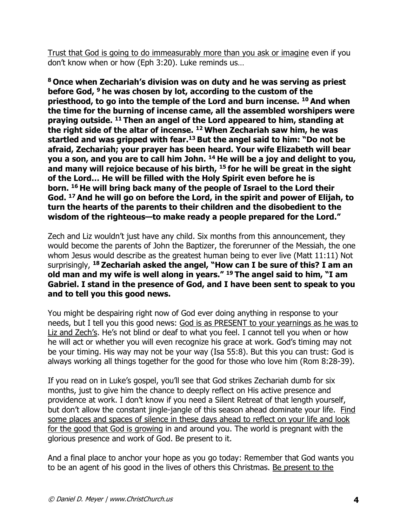Trust that God is going to do immeasurably more than you ask or imagine even if you don't know when or how (Eph 3:20). Luke reminds us…

**<sup>8</sup> Once when Zechariah's division was on duty and he was serving as priest before God, <sup>9</sup> he was chosen by lot, according to the custom of the priesthood, to go into the temple of the Lord and burn incense. <sup>10</sup> And when the time for the burning of incense came, all the assembled worshipers were praying outside. <sup>11</sup> Then an angel of the Lord appeared to him, standing at the right side of the altar of incense. <sup>12</sup> When Zechariah saw him, he was startled and was gripped with fear.<sup>13</sup> But the angel said to him: "Do not be afraid, Zechariah; your prayer has been heard. Your wife Elizabeth will bear you a son, and you are to call him John. <sup>14</sup> He will be a joy and delight to you, and many will rejoice because of his birth, <sup>15</sup> for he will be great in the sight of the Lord… He will be filled with the Holy Spirit even before he is born. <sup>16</sup> He will bring back many of the people of Israel to the Lord their God. <sup>17</sup> And he will go on before the Lord, in the spirit and power of Elijah, to turn the hearts of the parents to their children and the disobedient to the wisdom of the righteous—to make ready a people prepared for the Lord."**

Zech and Liz wouldn't just have any child. Six months from this announcement, they would become the parents of John the Baptizer, the forerunner of the Messiah, the one whom Jesus would describe as the greatest human being to ever live (Matt 11:11) Not surprisingly, **<sup>18</sup> Zechariah asked the angel, "How can I be sure of this? I am an old man and my wife is well along in years." <sup>19</sup> The angel said to him, "I am Gabriel. I stand in the presence of God, and I have been sent to speak to you and to tell you this good news.**

You might be despairing right now of God ever doing anything in response to your needs, but I tell you this good news: God is as PRESENT to your yearnings as he was to Liz and Zech's. He's not blind or deaf to what you feel. I cannot tell you when or how he will act or whether you will even recognize his grace at work. God's timing may not be your timing. His way may not be your way (Isa 55:8). But this you can trust: God is always working all things together for the good for those who love him (Rom 8:28-39).

If you read on in Luke's gospel, you'll see that God strikes Zechariah dumb for six months, just to give him the chance to deeply reflect on His active presence and providence at work. I don't know if you need a Silent Retreat of that length yourself, but don't allow the constant jingle-jangle of this season ahead dominate your life. Find some places and spaces of silence in these days ahead to reflect on your life and look for the good that God is growing in and around you. The world is pregnant with the glorious presence and work of God. Be present to it.

And a final place to anchor your hope as you go today: Remember that God wants you to be an agent of his good in the lives of others this Christmas. Be present to the